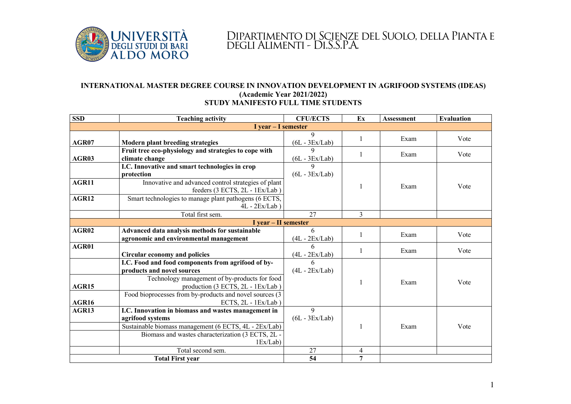

## Dipartimento di Scienze del Suolo, della Pianta e degli Alimenti - Di.S.S.P.A.

## **INTERNATIONAL MASTER DEGREE COURSE IN INNOVATION DEVELOPMENT IN AGRIFOOD SYSTEMS (IDEAS) (Academic Year 2021/2022) STUDY MANIFESTO FULL TIME STUDENTS**

| <b>SSD</b>              | <b>Teaching activity</b>                                                                                                          | <b>CFU/ECTS</b>       | Ex             | <b>Assessment</b> | Evaluation |  |  |
|-------------------------|-----------------------------------------------------------------------------------------------------------------------------------|-----------------------|----------------|-------------------|------------|--|--|
| $I year - I semester$   |                                                                                                                                   |                       |                |                   |            |  |  |
| AGR07                   | <b>Modern plant breeding strategies</b>                                                                                           | 9<br>$(6L - 3Ex/Lab)$ | 1              | Exam              | Vote       |  |  |
| AGR03                   | Fruit tree eco-physiology and strategies to cope with<br>climate change                                                           | Q<br>$(6L - 3Ex/Lab)$ | 1              | Exam              | Vote       |  |  |
|                         | I.C. Innovative and smart technologies in crop<br>protection                                                                      | 9<br>$(6L - 3Ex/Lab)$ |                |                   |            |  |  |
| AGR11                   | Innovative and advanced control strategies of plant<br>feeders (3 ECTS, 2L - 1Ex/Lab)                                             |                       | 1              | Exam              | Vote       |  |  |
| AGR12                   | Smart technologies to manage plant pathogens (6 ECTS,<br>$4L - 2Ex/Lab$                                                           |                       |                |                   |            |  |  |
|                         | Total first sem.                                                                                                                  | 27                    | 3              |                   |            |  |  |
| I year - II semester    |                                                                                                                                   |                       |                |                   |            |  |  |
| AGR02                   | Advanced data analysis methods for sustainable<br>agronomic and environmental management                                          | 6<br>$(4L - 2Ex/Lab)$ | 1              | Exam              | Vote       |  |  |
| AGR01                   | Circular economy and policies                                                                                                     | 6<br>$(4L - 2Ex/Lab)$ |                | Exam              | Vote       |  |  |
|                         | I.C. Food and food components from agrifood of by-<br>products and novel sources<br>Technology management of by-products for food | 6<br>$(4L - 2Ex/Lab)$ |                |                   |            |  |  |
| AGR15<br><b>AGR16</b>   | production (3 ECTS, 2L - 1Ex/Lab)<br>Food bioprocesses from by-products and novel sources (3<br>ECTS, 2L - 1Ex/Lab                |                       |                | Exam              | Vote       |  |  |
| AGR13                   | I.C. Innovation in biomass and wastes management in<br>agrifood systems                                                           | 9<br>$(6L - 3Ex/Lab)$ |                |                   |            |  |  |
|                         | Sustainable biomass management (6 ECTS, 4L - 2Ex/Lab)<br>Biomass and wastes characterization (3 ECTS, 2L -<br>1Ex/Lab             |                       |                | Exam              | Vote       |  |  |
|                         | Total second sem.                                                                                                                 | 27                    | 4              |                   |            |  |  |
| <b>Total First year</b> |                                                                                                                                   | 54                    | $\overline{7}$ |                   |            |  |  |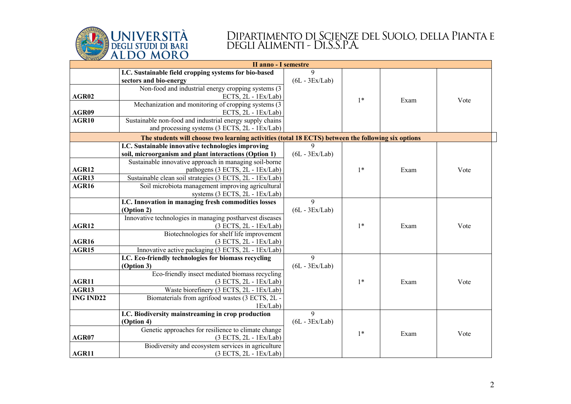

## Dipartimento di Scienze del Suolo, della Pianta e degli Alimenti - Di.S.S.P.A.

| <b>II anno - I semestre</b> |                                                                                                    |                  |      |      |      |  |  |  |  |
|-----------------------------|----------------------------------------------------------------------------------------------------|------------------|------|------|------|--|--|--|--|
|                             | I.C. Sustainable field cropping systems for bio-based                                              | $\mathbf Q$      |      |      |      |  |  |  |  |
|                             | sectors and bio-energy                                                                             | $(6L - 3Ex/Lab)$ |      |      |      |  |  |  |  |
|                             | Non-food and industrial energy cropping systems (3)                                                |                  |      |      |      |  |  |  |  |
| AGR02                       | ECTS, 2L - 1Ex/Lab)                                                                                |                  | $1*$ | Exam | Vote |  |  |  |  |
|                             | Mechanization and monitoring of cropping systems (3)                                               |                  |      |      |      |  |  |  |  |
| AGR09                       | ECTS, 2L - 1Ex/Lab)                                                                                |                  |      |      |      |  |  |  |  |
| AGR10                       | Sustainable non-food and industrial energy supply chains                                           |                  |      |      |      |  |  |  |  |
|                             | and processing systems (3 ECTS, 2L - 1Ex/Lab)                                                      |                  |      |      |      |  |  |  |  |
|                             | The students will choose two learning activities (total 18 ECTS) between the following six options |                  |      |      |      |  |  |  |  |
|                             | I.C. Sustainable innovative technologies improving                                                 | $\mathbf Q$      |      |      |      |  |  |  |  |
|                             | soil, microorganism and plant interactions (Option 1)                                              | $(6L - 3Ex/Lab)$ |      |      |      |  |  |  |  |
|                             | Sustainable innovative approach in managing soil-borne                                             |                  |      |      |      |  |  |  |  |
| AGR12                       | pathogens (3 ECTS, 2L - 1Ex/Lab)                                                                   |                  | $1*$ | Exam | Vote |  |  |  |  |
| AGR13                       | Sustainable clean soil strategies (3 ECTS, 2L - 1Ex/Lab)                                           |                  |      |      |      |  |  |  |  |
| AGR16                       | Soil microbiota management improving agricultural                                                  |                  |      |      |      |  |  |  |  |
|                             | systems (3 ECTS, 2L - 1Ex/Lab)                                                                     |                  |      |      |      |  |  |  |  |
|                             | I.C. Innovation in managing fresh commodities losses                                               | 9                |      |      |      |  |  |  |  |
|                             | (Option 2)                                                                                         | $(6L - 3Ex/Lab)$ |      |      |      |  |  |  |  |
|                             | Innovative technologies in managing postharvest diseases                                           |                  |      |      |      |  |  |  |  |
| AGR12                       | (3 ECTS, 2L - 1Ex/Lab)                                                                             |                  | $1*$ | Exam | Vote |  |  |  |  |
|                             | Biotechnologies for shelf life improvement                                                         |                  |      |      |      |  |  |  |  |
| AGR16                       | (3 ECTS, 2L - 1Ex/Lab)                                                                             |                  |      |      |      |  |  |  |  |
| AGR15                       | Innovative active packaging (3 ECTS, 2L - 1Ex/Lab)                                                 |                  |      |      |      |  |  |  |  |
|                             | I.C. Eco-friendly technologies for biomass recycling                                               | 9                |      |      |      |  |  |  |  |
|                             | (Option 3)                                                                                         | $(6L - 3Ex/Lab)$ |      |      |      |  |  |  |  |
|                             | Eco-friendly insect mediated biomass recycling                                                     |                  |      |      |      |  |  |  |  |
| AGR11                       | (3 ECTS, 2L - 1Ex/Lab)                                                                             |                  | $1*$ | Exam | Vote |  |  |  |  |
| AGR13                       | Waste biorefinery (3 ECTS, 2L - 1Ex/Lab)                                                           |                  |      |      |      |  |  |  |  |
| <b>ING IND22</b>            | Biomaterials from agrifood wastes (3 ECTS, 2L -                                                    |                  |      |      |      |  |  |  |  |
|                             | 1Ex/Lab                                                                                            |                  |      |      |      |  |  |  |  |
|                             | I.C. Biodiversity mainstreaming in crop production                                                 | 9                |      |      |      |  |  |  |  |
|                             | (Option 4)                                                                                         | $(6L - 3Ex/Lab)$ |      |      |      |  |  |  |  |
|                             | Genetic approaches for resilience to climate change                                                |                  | $1*$ | Exam | Vote |  |  |  |  |
| AGR07                       | (3 ECTS, 2L - 1Ex/Lab)                                                                             |                  |      |      |      |  |  |  |  |
|                             | Biodiversity and ecosystem services in agriculture                                                 |                  |      |      |      |  |  |  |  |
| AGR11                       | (3 ECTS, 2L - 1Ex/Lab)                                                                             |                  |      |      |      |  |  |  |  |